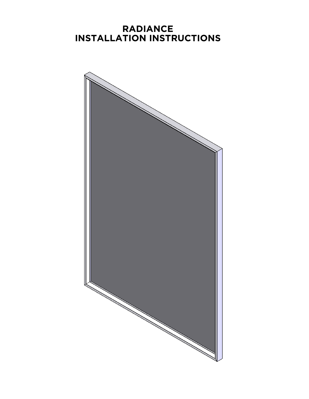## **RADIANCE INSTALLATION INSTRUCTIONS**

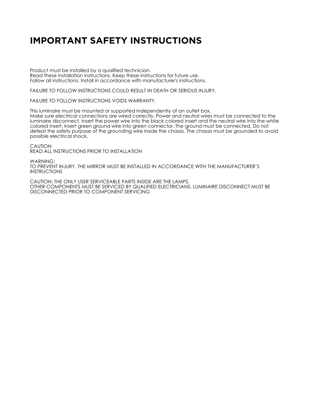# **IMPORTANT SAFETY INSTRUCTIONS**

Product must be installed by a qualified technician. Read these installation instructions. Keep these instructions for future use. Follow all instructions. Install in accordance with manufacturer's instructions.

FAILURE TO FOLLOW INSTRUCTIONS COULD RESULT IN DEATH OR SERIOUS INJURY.

FAILURE TO FOLLOW INSTRUCTIONS VOIDS WARRANTY.

This luminaire must be mounted or supported independently of an outlet box. Make sure electrical connections are wired correctly. Power and neutral wires must be connected to the luminaire disconnect. Insert the power wire into the black colored insert and the neutral wire into the white colored insert. Insert green ground wire into green connector. The ground must be connected. Do not defeat the safety purpose of the grounding wire inside the chassis. The chassis must be grounded to avoid possible electrical shock.

CAUTION READ ALL INSTRUCTIONS PRIOR TO INSTALLATION

WARNING: TO PREVENT INJURY, THE MIRROR MUST BE INSTALLED IN ACCORDANCE WITH THE MANUFACTURER'S INSTRUCTIONS

CAUTION: THE ONLY USER SERVICEABLE PARTS INSIDE ARE THE LAMPS. OTHER COMPONENTS MUST BE SERVICED BY QUALIFIED ELECTRICIANS. LUMINAIRE DISCONNECT MUST BE DISCONNECTED PRIOR TO COMPONENT SERVICING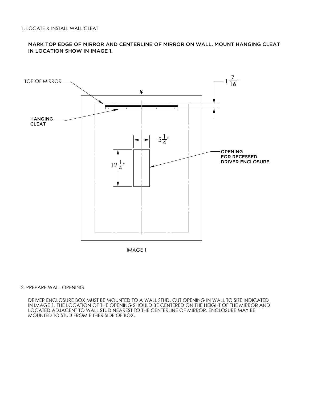MARK TOP EDGE OF MIRROR AND CENTERLINE OF MIRROR ON WALL. MOUNT HANGING CLEAT IN LOCATION SHOW IN IMAGE 1.



IMAGE 1

### 2. PREPARE WALL OPENING

DRIVER ENCLOSURE BOX MUST BE MOUNTED TO A WALL STUD. CUT OPENING IN WALL TO SIZE INDICATED IN IMAGE 1. THE LOCATION OF THE OPENING SHOULD BE CENTERED ON THE HEIGHT OF THE MIRROR AND LOCATED ADJACENT TO WALL STUD NEAREST TO THE CENTERLINE OF MIRROR. ENCLOSURE MAY BE MOUNTED TO STUD FROM EITHER SIDE OF BOX.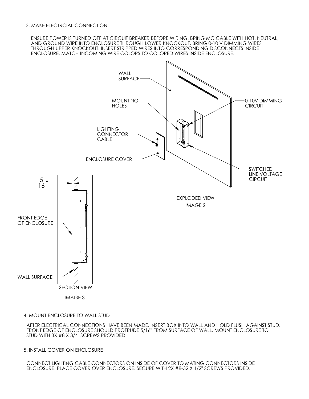3. MAKE ELECTRCIAL CONNECTION.

ENSURE POWER IS TURNED OFF AT CIRCUIT BREAKER BEFORE WIRING. BRING MC CABLE WITH HOT, NEUTRAL, AND GROUND WIRE INTO ENCLOSURE THROUGH LOWER KNOCKOUT. BRING 0-10 V DIMMING WIRES THROUGH UPPER KNOCKOUT. INSERT STRIPPED WIRES INTO CORRESPONDING DISCONNECTS INSIDE ENCLOSURE. MATCH INCOMING WIRE COLORS TO COLORED WIRES INSIDE ENCLOSURE.



4. MOUNT ENCLOSURE TO WALL STUD

AFTER ELECTRICAL CONNECTIONS HAVE BEEN MADE, INSERT BOX INTO WALL AND HOLD FLUSH AGAINST STUD. FRONT EDGE OF ENCLOSURE SHOULD PROTRUDE 5/16" FROM SURFACE OF WALL. MOUNT ENCLOSURE TO STUD WITH 3X #8 X 3/4" SCREWS PROVIDED.

5. INSTALL COVER ON ENCLOSURE

CONNECT LIGHTING CABLE CONNECTORS ON INSIDE OF COVER TO MATING CONNECTORS INSIDE ENCLOSURE. PLACE COVER OVER ENCLOSURE. SECURE WITH 2X #8-32 X 1/2" SCREWS PROVIDED.